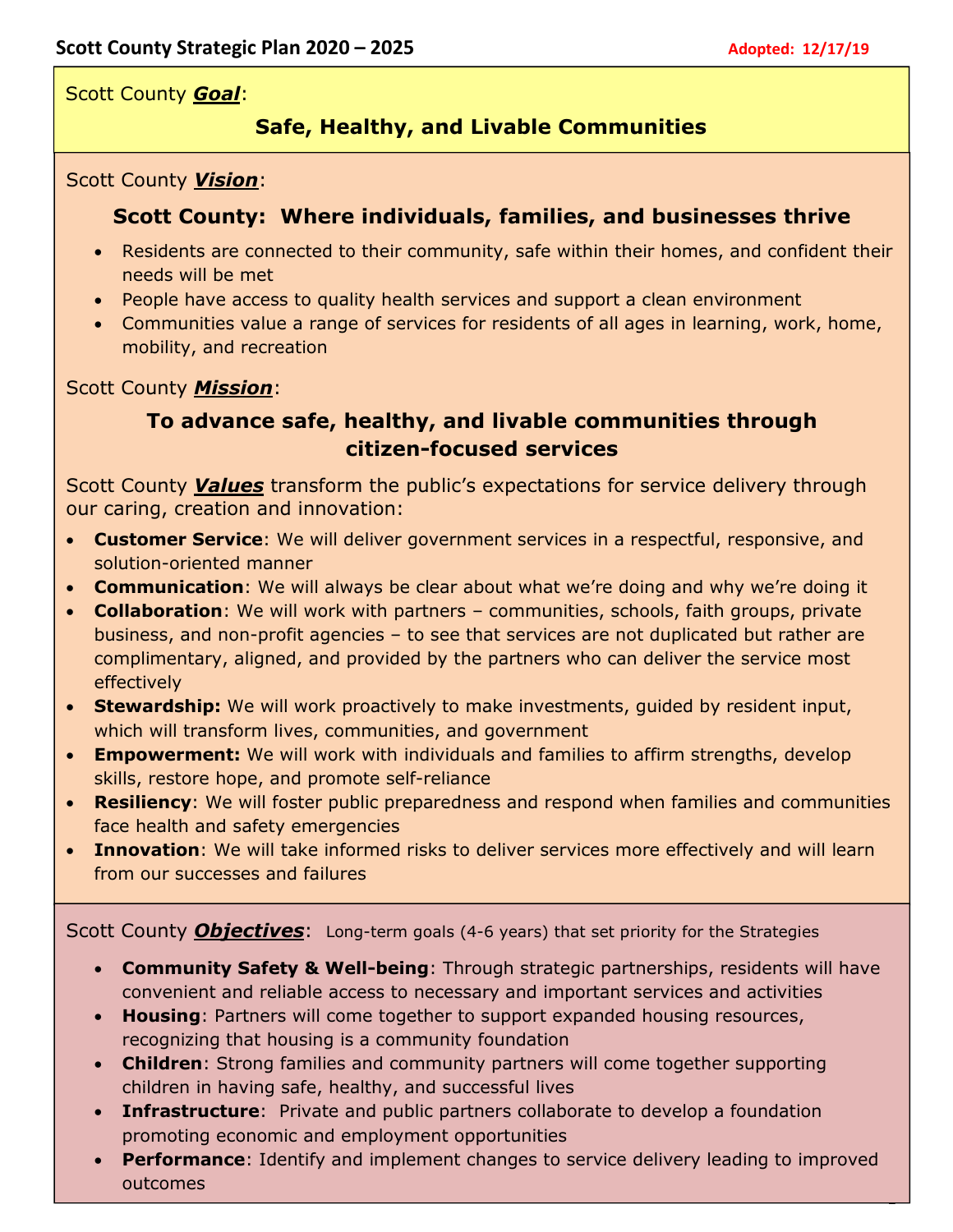1

Scott County *Goal*:

# **Safe, Healthy, and Livable Communities**

#### Scott County *Vision*:

## **Scott County: Where individuals, families, and businesses thrive**

- Residents are connected to their community, safe within their homes, and confident their needs will be met
- People have access to quality health services and support a clean environment
- Communities value a range of services for residents of all ages in learning, work, home, mobility, and recreation

## Scott County *Mission*:

## **To advance safe, healthy, and livable communities through citizen-focused services**

Scott County *Values* transform the public's expectations for service delivery through our caring, creation and innovation:

- **Customer Service**: We will deliver government services in a respectful, responsive, and solution-oriented manner
- **Communication**: We will always be clear about what we're doing and why we're doing it
- **Collaboration**: We will work with partners communities, schools, faith groups, private business, and non-profit agencies – to see that services are not duplicated but rather are complimentary, aligned, and provided by the partners who can deliver the service most effectively
- **Stewardship:** We will work proactively to make investments, guided by resident input, which will transform lives, communities, and government
- **Empowerment:** We will work with individuals and families to affirm strengths, develop skills, restore hope, and promote self-reliance
- **Resiliency**: We will foster public preparedness and respond when families and communities face health and safety emergencies
- **Innovation**: We will take informed risks to deliver services more effectively and will learn from our successes and failures

Scott County *Objectives*: Long-term goals (4-6 years) that set priority for the Strategies

- **Community Safety & Well-being**: Through strategic partnerships, residents will have convenient and reliable access to necessary and important services and activities
- **Housing**: Partners will come together to support expanded housing resources, recognizing that housing is a community foundation
- **Children**: Strong families and community partners will come together supporting children in having safe, healthy, and successful lives
- **Infrastructure**: Private and public partners collaborate to develop a foundation promoting economic and employment opportunities
- **Performance**: Identify and implement changes to service delivery leading to improved outcomes